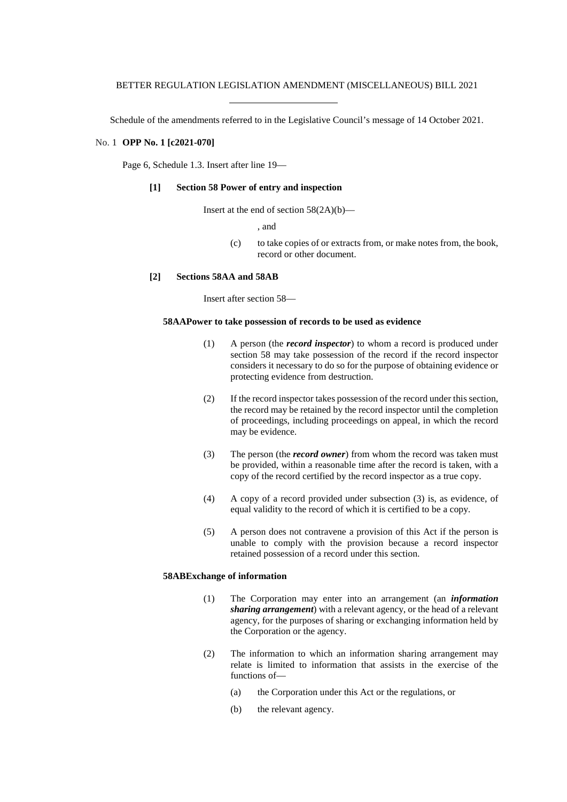Schedule of the amendments referred to in the Legislative Council's message of 14 October 2021.

### No. 1 **OPP No. 1 [c2021-070]**

Page 6, Schedule 1.3. Insert after line 19—

# **[1] Section 58 Power of entry and inspection**

Insert at the end of section  $58(2A)(b)$ —

, and

(c) to take copies of or extracts from, or make notes from, the book, record or other document.

# **[2] Sections 58AA and 58AB**

Insert after section 58—

### **58AAPower to take possession of records to be used as evidence**

- (1) A person (the *record inspector*) to whom a record is produced under section 58 may take possession of the record if the record inspector considers it necessary to do so for the purpose of obtaining evidence or protecting evidence from destruction.
- (2) If the record inspector takes possession of the record under this section, the record may be retained by the record inspector until the completion of proceedings, including proceedings on appeal, in which the record may be evidence.
- (3) The person (the *record owner*) from whom the record was taken must be provided, within a reasonable time after the record is taken, with a copy of the record certified by the record inspector as a true copy.
- (4) A copy of a record provided under subsection (3) is, as evidence, of equal validity to the record of which it is certified to be a copy.
- (5) A person does not contravene a provision of this Act if the person is unable to comply with the provision because a record inspector retained possession of a record under this section.

# **58ABExchange of information**

- (1) The Corporation may enter into an arrangement (an *information sharing arrangement*) with a relevant agency, or the head of a relevant agency, for the purposes of sharing or exchanging information held by the Corporation or the agency.
- (2) The information to which an information sharing arrangement may relate is limited to information that assists in the exercise of the functions of—
	- (a) the Corporation under this Act or the regulations, or
	- (b) the relevant agency.